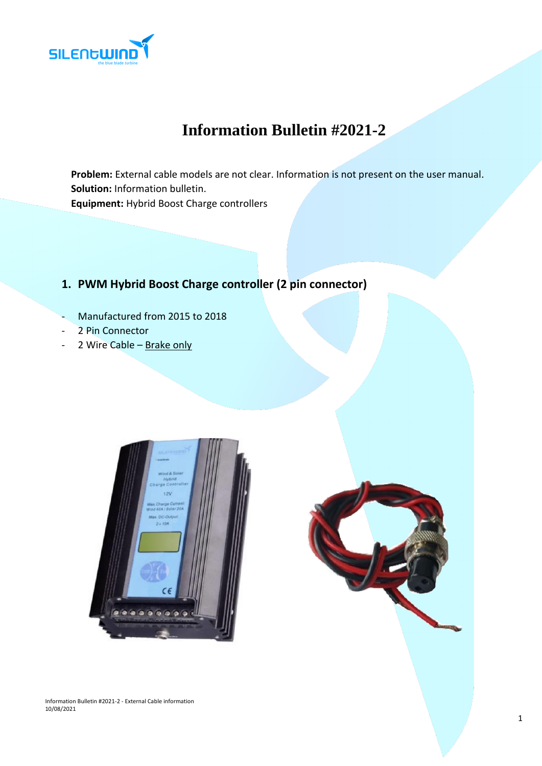

# **Information Bulletin #2021-2**

**Problem:** External cable models are not clear. Information is not present on the user manual. **Solution:** Information bulletin. **Equipment:** Hybrid Boost Charge controllers

#### **1. PWM Hybrid Boost Charge controller (2 pin connector)**

- Manufactured from 2015 to 2018
- 2 Pin Connector
- 2 Wire Cable  $Brake only$



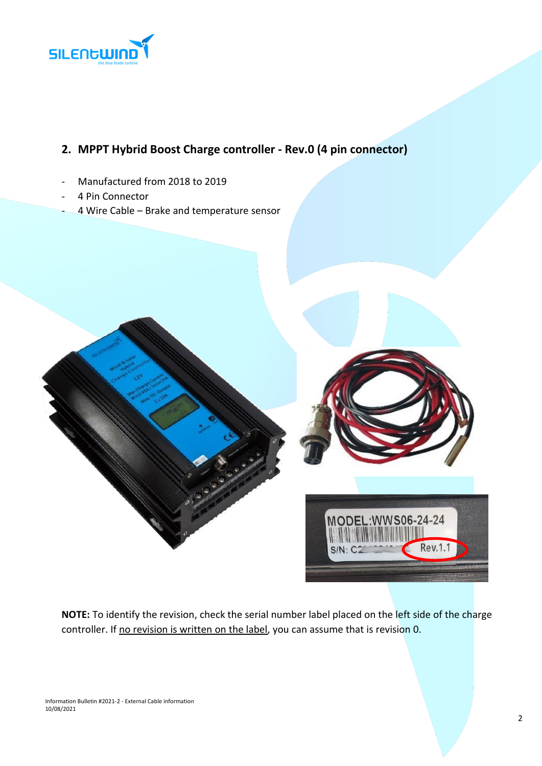

## **2. MPPT Hybrid Boost Charge controller - Rev.0 (4 pin connector)**

- Manufactured from 2018 to 2019
- 4 Pin Connector
- 4 Wire Cable Brake and temperature sensor



**NOTE:** To identify the revision, check the serial number label placed on the left side of the charge controller. If no revision is written on the label, you can assume that is revision 0.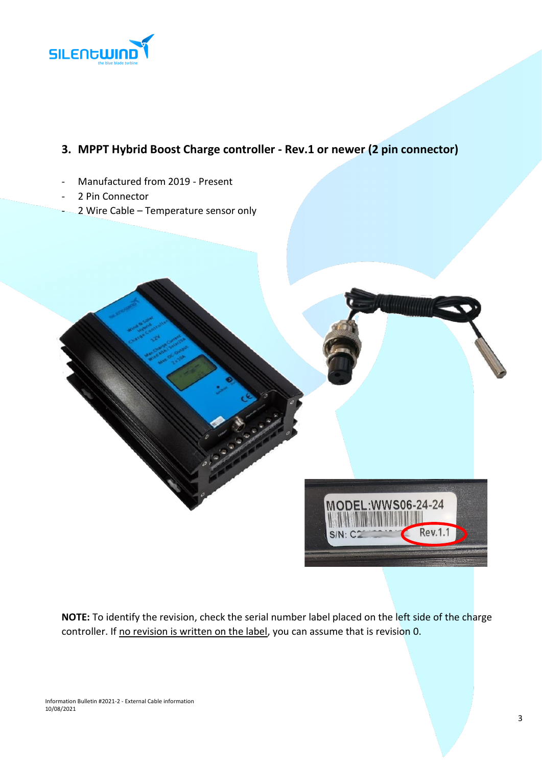

### **3. MPPT Hybrid Boost Charge controller - Rev.1 or newer (2 pin connector)**

- Manufactured from 2019 Present
- 2 Pin Connector
- 2 Wire Cable Temperature sensor only



**NOTE:** To identify the revision, check the serial number label placed on the left side of the charge controller. If no revision is written on the label, you can assume that is revision 0.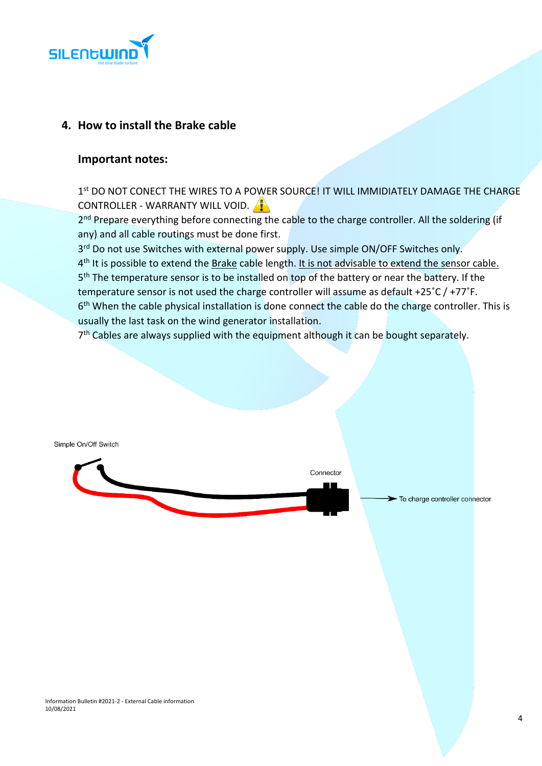

#### **4. How to install the Brake cable**

#### **Important notes:**

1<sup>st</sup> DO NOT CONECT THE WIRES TO A POWER SOURCE! IT WILL IMMIDIATELY DAMAGE THE CHARGE CONTROLLER - WARRANTY WILL VOID.

2<sup>nd</sup> Prepare everything before connecting the cable to the charge controller. All the soldering (if any) and all cable routings must be done first.

3<sup>rd</sup> Do not use Switches with external power supply. Use simple ON/OFF Switches only.

4<sup>th</sup> It is possible to extend the <u>Brake</u> cable length. It is not advisable to extend the sensor cable. 5<sup>th</sup> The temperature sensor is to be installed on top of the battery or near the battery. If the temperature sensor is not used the charge controller will assume as default +25˚C / +77˚F.

6<sup>th</sup> When the cable physical installation is done connect the cable do the charge controller. This is usually the last task on the wind generator installation.

7<sup>th</sup> Cables are always supplied with the equipment although it can be bought separately.